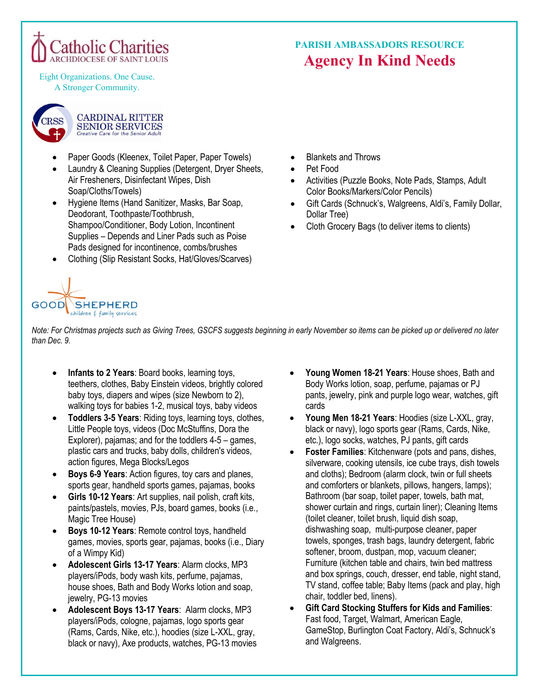

Eight Organizations. One Cause. A Stronger Community.



- Paper Goods (Kleenex, Toilet Paper, Paper Towels)
- Laundry & Cleaning Supplies (Detergent, Dryer Sheets, Air Fresheners, Disinfectant Wipes, Dish Soap/Cloths/Towels)
- Hygiene Items (Hand Sanitizer, Masks, Bar Soap, Deodorant, Toothpaste/Toothbrush, Shampoo/Conditioner, Body Lotion, Incontinent Supplies – Depends and Liner Pads such as Poise Pads designed for incontinence, combs/brushes
- Clothing (Slip Resistant Socks, Hat/Gloves/Scarves)

# **PARISH AMBASSADORS RESOURCE Agency In Kind Needs**

- Blankets and Throws
- Pet Food
- Activities (Puzzle Books, Note Pads, Stamps, Adult Color Books/Markers/Color Pencils)
- Gift Cards (Schnuck's, Walgreens, Aldi's, Family Dollar, Dollar Tree)
- Cloth Grocery Bags (to deliver items to clients)



*Note: For Christmas projects such as Giving Trees, GSCFS suggests beginning in early November so items can be picked up or delivered no later than Dec. 9.*

- **Infants to 2 Years**: Board books, learning toys, teethers, clothes, Baby Einstein videos, brightly colored baby toys, diapers and wipes (size Newborn to 2), walking toys for babies 1-2, musical toys, baby videos
- **Toddlers 3-5 Years**: Riding toys, learning toys, clothes, Little People toys, videos (Doc McStuffins, Dora the Explorer), pajamas; and for the toddlers 4-5 – games, plastic cars and trucks, baby dolls, children's videos, action figures, Mega Blocks/Legos
- **Boys 6-9 Years**: Action figures, toy cars and planes, sports gear, handheld sports games, pajamas, books
- **Girls 10-12 Years**: Art supplies, nail polish, craft kits, paints/pastels, movies, PJs, board games, books (i.e., Magic Tree House)
- **Boys 10-12 Years**: Remote control toys, handheld games, movies, sports gear, pajamas, books (i.e., Diary of a Wimpy Kid)
- **Adolescent Girls 13-17 Years**: Alarm clocks, MP3 players/iPods, body wash kits, perfume, pajamas, house shoes, Bath and Body Works lotion and soap, jewelry, PG-13 movies
- **Adolescent Boys 13-17 Years**: Alarm clocks, MP3 players/iPods, cologne, pajamas, logo sports gear (Rams, Cards, Nike, etc.), hoodies (size L-XXL, gray, black or navy), Axe products, watches, PG-13 movies
- Young Women 18-21 Years: House shoes, Bath and Body Works lotion, soap, perfume, pajamas or PJ pants, jewelry, pink and purple logo wear, watches, gift cards
- **Young Men 18-21 Years**: Hoodies (size L-XXL, gray, black or navy), logo sports gear (Rams, Cards, Nike, etc.), logo socks, watches, PJ pants, gift cards
- **Foster Families**: Kitchenware (pots and pans, dishes, silverware, cooking utensils, ice cube trays, dish towels and cloths); Bedroom (alarm clock, twin or full sheets and comforters or blankets, pillows, hangers, lamps); Bathroom (bar soap, toilet paper, towels, bath mat, shower curtain and rings, curtain liner); Cleaning Items (toilet cleaner, toilet brush, liquid dish soap, dishwashing soap, multi-purpose cleaner, paper towels, sponges, trash bags, laundry detergent, fabric softener, broom, dustpan, mop, vacuum cleaner; Furniture (kitchen table and chairs, twin bed mattress and box springs, couch, dresser, end table, night stand, TV stand, coffee table; Baby Items (pack and play, high chair, toddler bed, linens).
- **Gift Card Stocking Stuffers for Kids and Families**: Fast food, Target, Walmart, American Eagle, GameStop, Burlington Coat Factory, Aldi's, Schnuck's and Walgreens.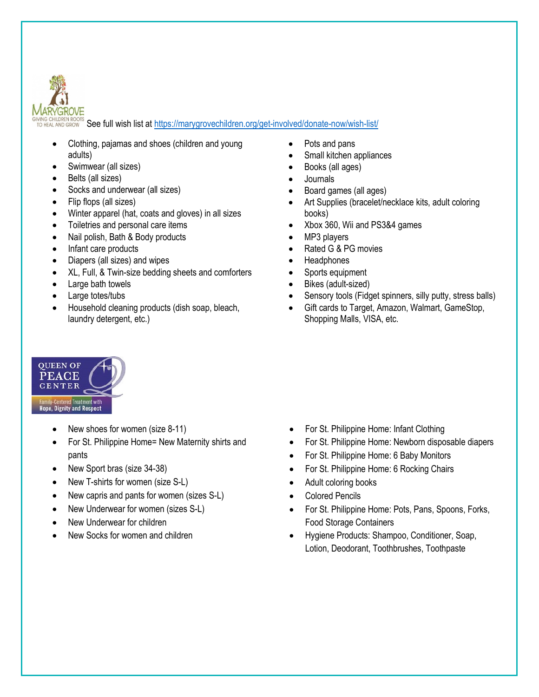

IVIÑG CHILDREN ROOTS<br>TO HEAL AND GROW**S See full wish list at <u>https://marygrovechildren.org/get-involved/donate-now/wish-list/</u>** 

- Clothing, pajamas and shoes (children and young adults)
- Swimwear (all sizes)
- Belts (all sizes)
- Socks and underwear (all sizes)
- Flip flops (all sizes)
- Winter apparel (hat, coats and gloves) in all sizes
- Toiletries and personal care items
- Nail polish, Bath & Body products
- Infant care products
- Diapers (all sizes) and wipes
- XL, Full, & Twin-size bedding sheets and comforters
- Large bath towels
- Large totes/tubs
- Household cleaning products (dish soap, bleach, laundry detergent, etc.)

# **QUEEN OF PEACE CENTER Family-Centered Treatment with<br>Hope, Dignity and Respect**

- New shoes for women (size 8-11)
- For St. Philippine Home= New Maternity shirts and pants
- New Sport bras (size 34-38)
- New T-shirts for women (size S-L)
- New capris and pants for women (sizes S-L)
- New Underwear for women (sizes S-L)
- New Underwear for children
- New Socks for women and children
- Pots and pans
- Small kitchen appliances
- Books (all ages)
- Journals
- Board games (all ages)
- Art Supplies (bracelet/necklace kits, adult coloring books)
- Xbox 360, Wii and PS3&4 games
- MP3 players
- Rated G & PG movies
- **Headphones**
- Sports equipment
- Bikes (adult-sized)
- Sensory tools (Fidget spinners, silly putty, stress balls)
- Gift cards to Target, Amazon, Walmart, GameStop, Shopping Malls, VISA, etc.

- For St. Philippine Home: Infant Clothing
- For St. Philippine Home: Newborn disposable diapers
- For St. Philippine Home: 6 Baby Monitors
- For St. Philippine Home: 6 Rocking Chairs
- Adult coloring books
- Colored Pencils
- For St. Philippine Home: Pots, Pans, Spoons, Forks, Food Storage Containers
- Hygiene Products: Shampoo, Conditioner, Soap, Lotion, Deodorant, Toothbrushes, Toothpaste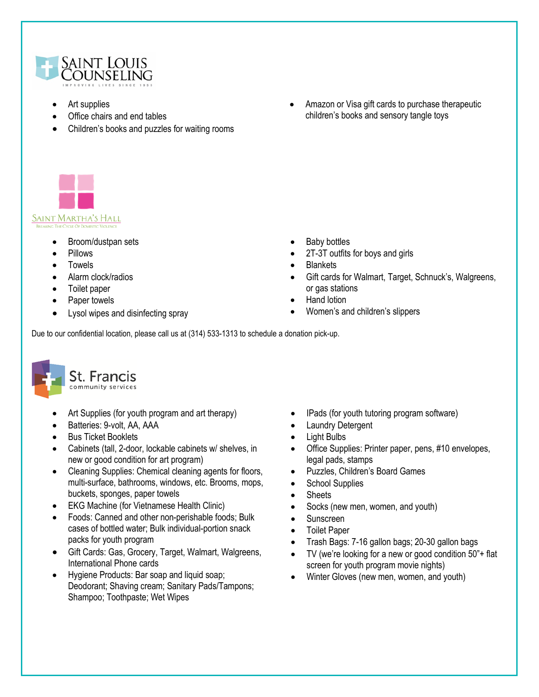

- Art supplies
- Office chairs and end tables
- Children's books and puzzles for waiting rooms
- Amazon or Visa gift cards to purchase therapeutic children's books and sensory tangle toys



- Broom/dustpan sets
- Pillows
- **Towels**
- Alarm clock/radios
- Toilet paper
- Paper towels
- Lysol wipes and disinfecting spray
- Baby bottles
- 2T-3T outfits for boys and girls
- **Blankets**
- Gift cards for Walmart, Target, Schnuck's, Walgreens, or gas stations
- Hand lotion
- Women's and children's slippers

Due to our confidential location, please call us at (314) 533-1313 to schedule a donation pick-up.



- Art Supplies (for youth program and art therapy)
- Batteries: 9-volt, AA, AAA
- **Bus Ticket Booklets**
- Cabinets (tall, 2-door, lockable cabinets w/ shelves, in new or good condition for art program)
- Cleaning Supplies: Chemical cleaning agents for floors, multi-surface, bathrooms, windows, etc. Brooms, mops, buckets, sponges, paper towels
- EKG Machine (for Vietnamese Health Clinic)
- Foods: Canned and other non-perishable foods; Bulk cases of bottled water; Bulk individual-portion snack packs for youth program
- Gift Cards: Gas, Grocery, Target, Walmart, Walgreens, International Phone cards
- Hygiene Products: Bar soap and liquid soap; Deodorant; Shaving cream; Sanitary Pads/Tampons; Shampoo; Toothpaste; Wet Wipes
- IPads (for youth tutoring program software)
- **Laundry Detergent**
- Light Bulbs
- Office Supplies: Printer paper, pens, #10 envelopes, legal pads, stamps
- Puzzles, Children's Board Games
- School Supplies
- **Sheets**
- Socks (new men, women, and youth)
- Sunscreen
- Toilet Paper
- Trash Bags: 7-16 gallon bags; 20-30 gallon bags
- TV (we're looking for a new or good condition 50"+ flat screen for youth program movie nights)
- Winter Gloves (new men, women, and youth)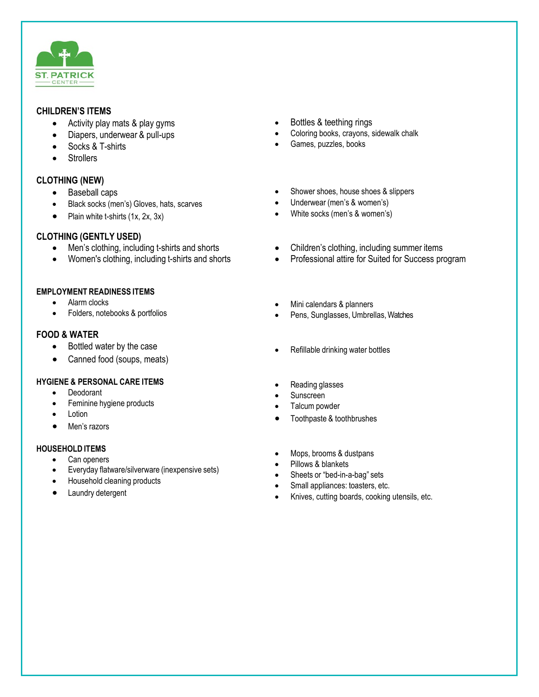

#### **CHILDREN'S ITEMS**

- Activity play mats & play gyms
- Diapers, underwear & pull-ups
- Socks & T-shirts
- **Strollers**

# **CLOTHING (NEW)**

- Baseball caps
- Black socks (men's) Gloves, hats, scarves
- Plain white t-shirts (1x, 2x, 3x)

# **CLOTHING (GENTLY USED)**

- Men's clothing, including t-shirts and shorts
- Women's clothing, including t-shirts and shorts

#### **EMPLOYMENT READINESS ITEMS**

- Alarm clocks
- Folders, notebooks & portfolios

# **FOOD & WATER**

- Bottled water by the case
- Canned food (soups, meats)

# **HYGIENE & PERSONAL CARE ITEMS**

- Deodorant
- Feminine hygiene products
- Lotion
- Men's razors

#### **HOUSEHOLD ITEMS**

- Can openers
- Everyday flatware/silverware (inexpensive sets)
- Household cleaning products
- Laundry detergent
- Bottles & teething rings
- Coloring books, crayons, sidewalk chalk
- Games, puzzles, books
- Shower shoes, house shoes & slippers
- Underwear (men's & women's)
- White socks (men's & women's)
- Children's clothing, including summer items
- Professional attire for Suited for Success program
- Mini calendars & planners
- Pens, Sunglasses, Umbrellas, Watches
- Refillable drinking water bottles
- Reading glasses
- Sunscreen
- Talcum powder
- Toothpaste & toothbrushes
- Mops, brooms & dustpans
- Pillows & blankets
- Sheets or "bed-in-a-bag" sets
- Small appliances: toasters, etc.
- Knives, cutting boards, cooking utensils, etc.